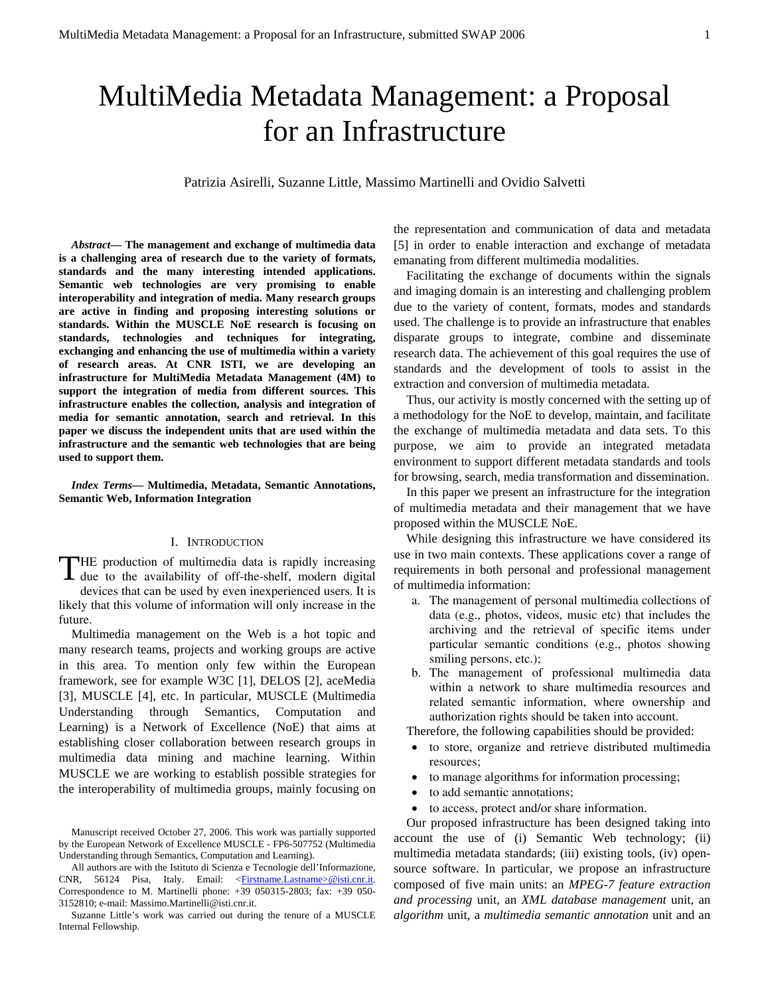# MultiMedia Metadata Management: a Proposal for an Infrastructure

Patrizia Asirelli, Suzanne Little, Massimo Martinelli and Ovidio Salvetti

*Abstract***— The management and exchange of multimedia data is a challenging area of research due to the variety of formats, standards and the many interesting intended applications. Semantic web technologies are very promising to enable interoperability and integration of media. Many research groups are active in finding and proposing interesting solutions or standards. Within the MUSCLE NoE research is focusing on standards, technologies and techniques for integrating, exchanging and enhancing the use of multimedia within a variety of research areas. At CNR ISTI, we are developing an infrastructure for MultiMedia Metadata Management (4M) to support the integration of media from different sources. This infrastructure enables the collection, analysis and integration of media for semantic annotation, search and retrieval. In this paper we discuss the independent units that are used within the infrastructure and the semantic web technologies that are being used to support them.** 

*Index Terms***— Multimedia, Metadata, Semantic Annotations, Semantic Web, Information Integration** 

# I. INTRODUCTION

HE production of multimedia data is rapidly increasing THE production of multimedia data is rapidly increasing<br>due to the availability of off-the-shelf, modern digital

devices that can be used by even inexperienced users. It is likely that this volume of information will only increase in the future.

Multimedia management on the Web is a hot topic and many research teams, projects and working groups are active in this area. To mention only few within the European framework, see for example W3C [1], DELOS [2], aceMedia [3], MUSCLE [4], etc. In particular, MUSCLE (Multimedia Understanding through Semantics, Computation and Learning) is a Network of Excellence (NoE) that aims at establishing closer collaboration between research groups in multimedia data mining and machine learning. Within MUSCLE we are working to establish possible strategies for the interoperability of multimedia groups, mainly focusing on the representation and communication of data and metadata [5] in order to enable interaction and exchange of metadata emanating from different multimedia modalities.

Facilitating the exchange of documents within the signals and imaging domain is an interesting and challenging problem due to the variety of content, formats, modes and standards used. The challenge is to provide an infrastructure that enables disparate groups to integrate, combine and disseminate research data. The achievement of this goal requires the use of standards and the development of tools to assist in the extraction and conversion of multimedia metadata.

Thus, our activity is mostly concerned with the setting up of a methodology for the NoE to develop, maintain, and facilitate the exchange of multimedia metadata and data sets. To this purpose, we aim to provide an integrated metadata environment to support different metadata standards and tools for browsing, search, media transformation and dissemination.

In this paper we present an infrastructure for the integration of multimedia metadata and their management that we have proposed within the MUSCLE NoE.

While designing this infrastructure we have considered its use in two main contexts. These applications cover a range of requirements in both personal and professional management of multimedia information:

- a. The management of personal multimedia collections of data (e.g., photos, videos, music etc) that includes the archiving and the retrieval of specific items under particular semantic conditions (e.g., photos showing smiling persons, etc.);
- b. The management of professional multimedia data within a network to share multimedia resources and related semantic information, where ownership and authorization rights should be taken into account.

Therefore, the following capabilities should be provided:

- to store, organize and retrieve distributed multimedia resources;
- to manage algorithms for information processing;
- to add semantic annotations;
- to access, protect and/or share information.

Our proposed infrastructure has been designed taking into account the use of (i) Semantic Web technology; (ii) multimedia metadata standards; (iii) existing tools, (iv) opensource software. In particular, we propose an infrastructure composed of five main units: an *MPEG-7 feature extraction and processing* unit, an *XML database management* unit, an *algorithm* unit, a *multimedia semantic annotation* unit and an

Manuscript received October 27, 2006. This work was partially supported by the European Network of Excellence MUSCLE - FP6-507752 (Multimedia Understanding through Semantics, Computation and Learning).

All authors are with the Istituto di Scienza e Tecnologie dell'Informazione, CNR, 56124 Pisa, Italy. Email: <Firstname.Lastname>@isti.cnr.it. Correspondence to M. Martinelli phone: +39 050315-2803; fax: +39 050- 3152810; e-mail: Massimo.Martinelli@isti.cnr.it.

Suzanne Little's work was carried out during the tenure of a MUSCLE Internal Fellowship.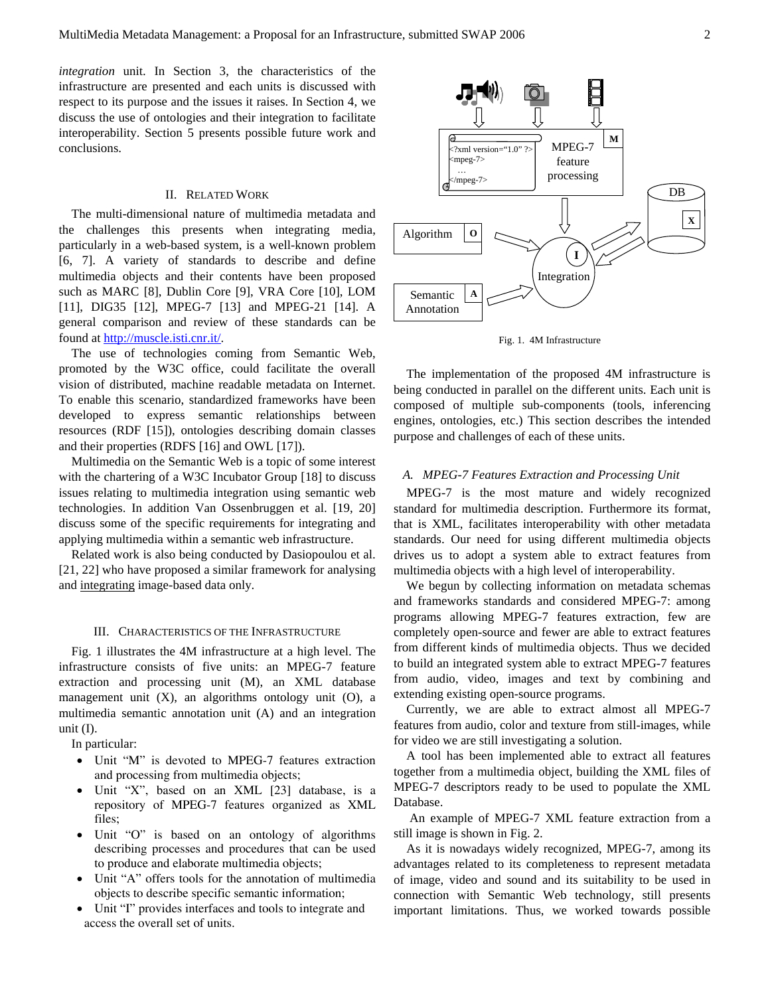*integration* unit. In Section 3, the characteristics of the infrastructure are presented and each units is discussed with respect to its purpose and the issues it raises. In Section 4, we discuss the use of ontologies and their integration to facilitate interoperability. Section 5 presents possible future work and conclusions.

# II. RELATED WORK

The multi-dimensional nature of multimedia metadata and the challenges this presents when integrating media, particularly in a web-based system, is a well-known problem [6, 7]. A variety of standards to describe and define multimedia objects and their contents have been proposed such as MARC [8], Dublin Core [9], VRA Core [10], LOM [11], DIG35 [12], MPEG-7 [13] and MPEG-21 [14]. A general comparison and review of these standards can be found at http://muscle.isti.cnr.it/.

The use of technologies coming from Semantic Web, promoted by the W3C office, could facilitate the overall vision of distributed, machine readable metadata on Internet. To enable this scenario, standardized frameworks have been developed to express semantic relationships between resources (RDF [15]), ontologies describing domain classes and their properties (RDFS [16] and OWL [17]).

Multimedia on the Semantic Web is a topic of some interest with the chartering of a W3C Incubator Group [18] to discuss issues relating to multimedia integration using semantic web technologies. In addition Van Ossenbruggen et al. [19, 20] discuss some of the specific requirements for integrating and applying multimedia within a semantic web infrastructure.

Related work is also being conducted by Dasiopoulou et al. [21, 22] who have proposed a similar framework for analysing and integrating image-based data only.

## III. CHARACTERISTICS OF THE INFRASTRUCTURE

Fig. 1 illustrates the 4M infrastructure at a high level. The infrastructure consists of five units: an MPEG-7 feature extraction and processing unit (M), an XML database management unit (X), an algorithms ontology unit (O), a multimedia semantic annotation unit (A) and an integration unit (I).

In particular:

- Unit "M" is devoted to MPEG-7 features extraction and processing from multimedia objects;
- Unit "X", based on an XML [23] database, is a repository of MPEG-7 features organized as XML files;
- Unit "O" is based on an ontology of algorithms describing processes and procedures that can be used to produce and elaborate multimedia objects;
- Unit "A" offers tools for the annotation of multimedia objects to describe specific semantic information;
- Unit "I" provides interfaces and tools to integrate and access the overall set of units.



Fig. 1. 4M Infrastructure

The implementation of the proposed 4M infrastructure is being conducted in parallel on the different units. Each unit is composed of multiple sub-components (tools, inferencing engines, ontologies, etc.) This section describes the intended purpose and challenges of each of these units.

## *A. MPEG-7 Features Extraction and Processing Unit*

MPEG-7 is the most mature and widely recognized standard for multimedia description. Furthermore its format, that is XML, facilitates interoperability with other metadata standards. Our need for using different multimedia objects drives us to adopt a system able to extract features from multimedia objects with a high level of interoperability.

We begun by collecting information on metadata schemas and frameworks standards and considered MPEG-7: among programs allowing MPEG-7 features extraction, few are completely open-source and fewer are able to extract features from different kinds of multimedia objects. Thus we decided to build an integrated system able to extract MPEG-7 features from audio, video, images and text by combining and extending existing open-source programs.

Currently, we are able to extract almost all MPEG-7 features from audio, color and texture from still-images, while for video we are still investigating a solution.

A tool has been implemented able to extract all features together from a multimedia object, building the XML files of MPEG-7 descriptors ready to be used to populate the XML Database.

 An example of MPEG-7 XML feature extraction from a still image is shown in Fig. 2.

As it is nowadays widely recognized, MPEG-7, among its advantages related to its completeness to represent metadata of image, video and sound and its suitability to be used in connection with Semantic Web technology, still presents important limitations. Thus, we worked towards possible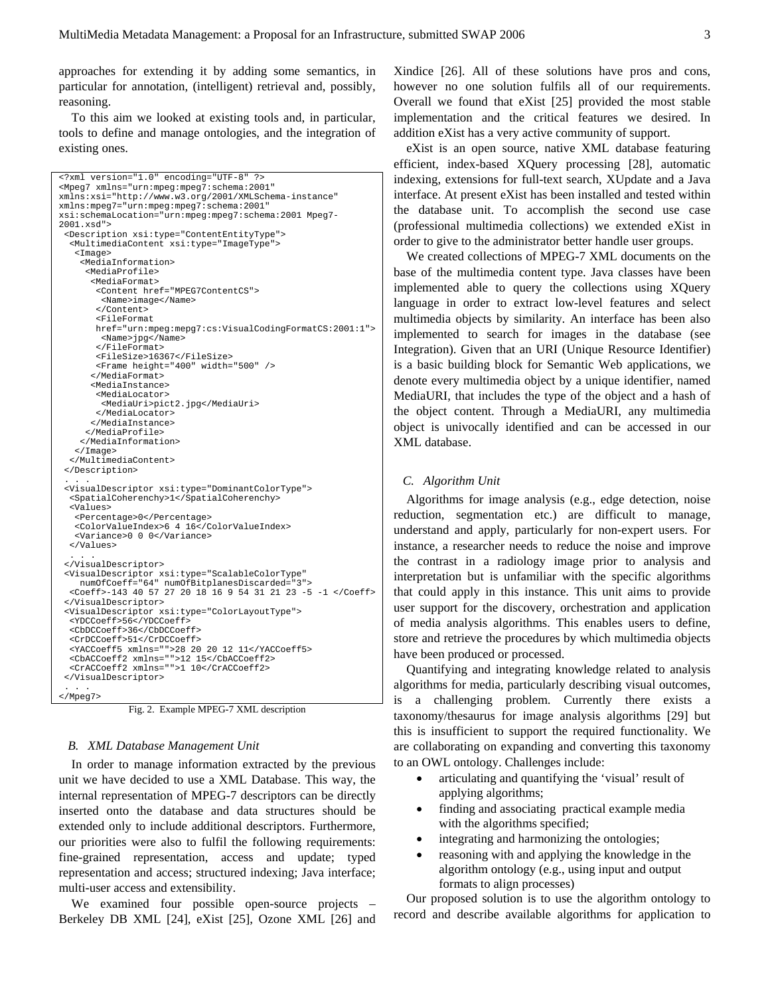approaches for extending it by adding some semantics, in particular for annotation, (intelligent) retrieval and, possibly, reasoning.

To this aim we looked at existing tools and, in particular, tools to define and manage ontologies, and the integration of existing ones.

```
<?xml version="1.0" encoding="UTF-8" ?> 
<Mpeg7 xmlns="urn:mpeg:mpeg7:schema:2001" 
xmlns:xsi="http://www.w3.org/2001/XMLSchema-instance" 
xmlns:mpeg7="urn:mpeg:mpeg7:schema:2001" 
xsi:schemaLocation="urn:mpeg:mpeg7:schema:2001 Mpeg7-
2001.xsd"> 
  <Description xsi:type="ContentEntityType"> 
   <MultimediaContent xsi:type="ImageType"> 
    <Image> 
     <MediaInformation> 
       <MediaProfile> 
        <MediaFormat> 
        <Content href="MPEG7ContentCS"> 
          <Name>image</Name> 
         </Content> 
         <FileFormat 
        href="urn:mpeg:mepg7:cs:VisualCodingFormatCS:2001:1"> 
          <Name>jpg</Name> 
         </FileFormat> 
        <FileSize>16367</FileSize> 
        <Frame height="400" width="500" /> 
        </MediaFormat> 
        <MediaInstance> 
         <MediaLocator> 
          <MediaUri>pict2.jpg</MediaUri> 
        </MediaLocator> 
       </MediaInstance> 
      </MediaProfile> 
     </MediaInformation> 
    </Image> 
   </MultimediaContent> 
  </Description> 
 . . . 
 <VisualDescriptor xsi:type="DominantColorType"> 
   <SpatialCoherenchy>1</SpatialCoherenchy> 
   <Values> 
    <Percentage>0</Percentage> 
    <ColorValueIndex>6 4 16</ColorValueIndex> 
    <Variance>0 0 0</Variance> 
   </Values> 
 . . . 
  </VisualDescriptor> 
 <VisualDescriptor xsi:type="ScalableColorType" 
 numOfCoeff="64" numOfBitplanesDiscarded="3"> 
   <Coeff>-143 40 57 27 20 18 16 9 54 31 21 23 -5 -1 </Coeff> 
  </VisualDescriptor> 
  <VisualDescriptor xsi:type="ColorLayoutType"> 
   <YDCCoeff>56</YDCCoeff> 
   <CbDCCoeff>36</CbDCCoeff> 
   <CrDCCoeff>51</CrDCCoeff> 
   <YACCoeff5 xmlns="">28 20 20 12 11</YACCoeff5> 
 <CbACCoeff2 xmlns="">12 15</CbACCoeff2> 
 <CrACCoeff2 xmlns="">1 10</CrACCoeff2> 
  </VisualDescriptor> 
 . . . 
</Mpeg7>
```
Fig. 2. Example MPEG-7 XML description

## *B. XML Database Management Unit*

In order to manage information extracted by the previous unit we have decided to use a XML Database. This way, the internal representation of MPEG-7 descriptors can be directly inserted onto the database and data structures should be extended only to include additional descriptors. Furthermore, our priorities were also to fulfil the following requirements: fine-grained representation, access and update; typed representation and access; structured indexing; Java interface; multi-user access and extensibility.

We examined four possible open-source projects – Berkeley DB XML [24], eXist [25], Ozone XML [26] and Xindice [26]. All of these solutions have pros and cons, however no one solution fulfils all of our requirements. Overall we found that eXist [25] provided the most stable implementation and the critical features we desired. In addition eXist has a very active community of support.

eXist is an open source, native XML database featuring efficient, index-based XQuery processing [28], automatic indexing, extensions for full-text search, XUpdate and a Java interface. At present eXist has been installed and tested within the database unit. To accomplish the second use case (professional multimedia collections) we extended eXist in order to give to the administrator better handle user groups.

We created collections of MPEG-7 XML documents on the base of the multimedia content type. Java classes have been implemented able to query the collections using XQuery language in order to extract low-level features and select multimedia objects by similarity. An interface has been also implemented to search for images in the database (see Integration). Given that an URI (Unique Resource Identifier) is a basic building block for Semantic Web applications, we denote every multimedia object by a unique identifier, named MediaURI, that includes the type of the object and a hash of the object content. Through a MediaURI, any multimedia object is univocally identified and can be accessed in our XML database.

## *C. Algorithm Unit*

Algorithms for image analysis (e.g., edge detection, noise reduction, segmentation etc.) are difficult to manage, understand and apply, particularly for non-expert users. For instance, a researcher needs to reduce the noise and improve the contrast in a radiology image prior to analysis and interpretation but is unfamiliar with the specific algorithms that could apply in this instance. This unit aims to provide user support for the discovery, orchestration and application of media analysis algorithms. This enables users to define, store and retrieve the procedures by which multimedia objects have been produced or processed.

Quantifying and integrating knowledge related to analysis algorithms for media, particularly describing visual outcomes, is a challenging problem. Currently there exists a taxonomy/thesaurus for image analysis algorithms [29] but this is insufficient to support the required functionality. We are collaborating on expanding and converting this taxonomy to an OWL ontology. Challenges include:

- articulating and quantifying the 'visual' result of applying algorithms;
- finding and associating practical example media with the algorithms specified;
- integrating and harmonizing the ontologies;
- reasoning with and applying the knowledge in the algorithm ontology (e.g., using input and output formats to align processes)

Our proposed solution is to use the algorithm ontology to record and describe available algorithms for application to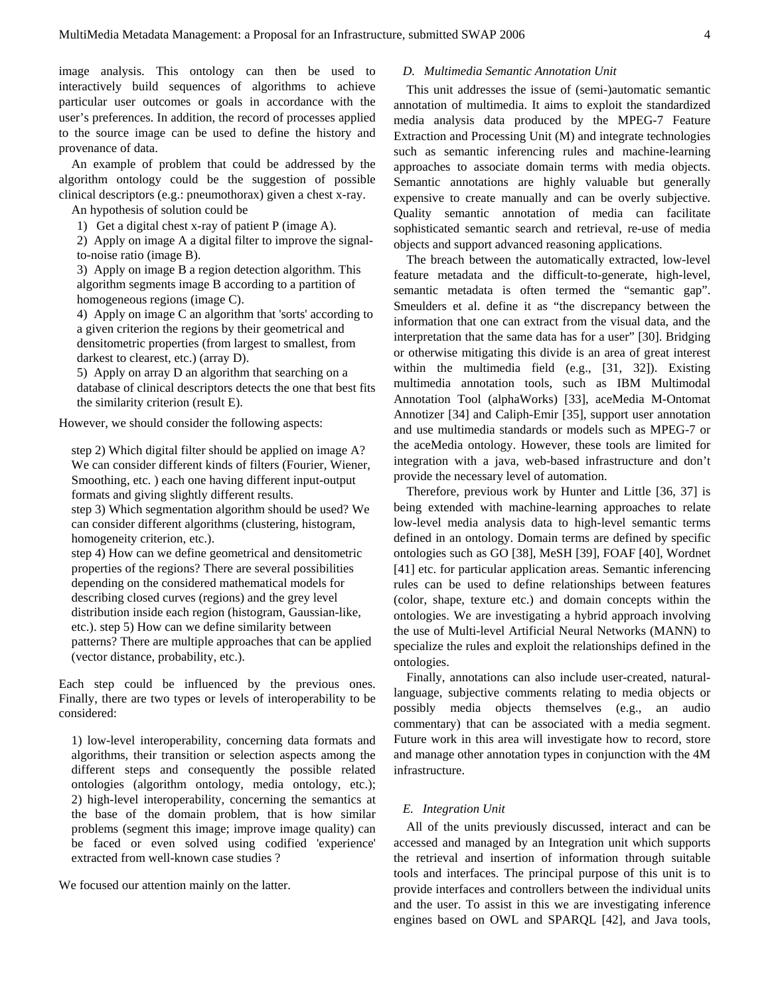image analysis. This ontology can then be used to interactively build sequences of algorithms to achieve particular user outcomes or goals in accordance with the user's preferences. In addition, the record of processes applied to the source image can be used to define the history and provenance of data.

An example of problem that could be addressed by the algorithm ontology could be the suggestion of possible clinical descriptors (e.g.: pneumothorax) given a chest x-ray.

An hypothesis of solution could be

1) Get a digital chest x-ray of patient P (image A).

2) Apply on image A a digital filter to improve the signalto-noise ratio (image B).

3) Apply on image B a region detection algorithm. This algorithm segments image B according to a partition of homogeneous regions (image C).

4) Apply on image C an algorithm that 'sorts' according to a given criterion the regions by their geometrical and densitometric properties (from largest to smallest, from darkest to clearest, etc.) (array D).

5) Apply on array D an algorithm that searching on a database of clinical descriptors detects the one that best fits the similarity criterion (result E).

However, we should consider the following aspects:

step 2) Which digital filter should be applied on image A? We can consider different kinds of filters (Fourier, Wiener, Smoothing, etc. ) each one having different input-output formats and giving slightly different results. step 3) Which segmentation algorithm should be used? We can consider different algorithms (clustering, histogram, homogeneity criterion, etc.).

step 4) How can we define geometrical and densitometric properties of the regions? There are several possibilities depending on the considered mathematical models for describing closed curves (regions) and the grey level distribution inside each region (histogram, Gaussian-like, etc.). step 5) How can we define similarity between patterns? There are multiple approaches that can be applied (vector distance, probability, etc.).

Each step could be influenced by the previous ones. Finally, there are two types or levels of interoperability to be considered:

1) low-level interoperability, concerning data formats and algorithms, their transition or selection aspects among the different steps and consequently the possible related ontologies (algorithm ontology, media ontology, etc.); 2) high-level interoperability, concerning the semantics at the base of the domain problem, that is how similar problems (segment this image; improve image quality) can be faced or even solved using codified 'experience' extracted from well-known case studies ?

We focused our attention mainly on the latter.

# *D. Multimedia Semantic Annotation Unit*

This unit addresses the issue of (semi-)automatic semantic annotation of multimedia. It aims to exploit the standardized media analysis data produced by the MPEG-7 Feature Extraction and Processing Unit (M) and integrate technologies such as semantic inferencing rules and machine-learning approaches to associate domain terms with media objects. Semantic annotations are highly valuable but generally expensive to create manually and can be overly subjective. Quality semantic annotation of media can facilitate sophisticated semantic search and retrieval, re-use of media objects and support advanced reasoning applications.

The breach between the automatically extracted, low-level feature metadata and the difficult-to-generate, high-level, semantic metadata is often termed the "semantic gap". Smeulders et al. define it as "the discrepancy between the information that one can extract from the visual data, and the interpretation that the same data has for a user" [30]. Bridging or otherwise mitigating this divide is an area of great interest within the multimedia field (e.g., [31, 32]). Existing multimedia annotation tools, such as IBM Multimodal Annotation Tool (alphaWorks) [33], aceMedia M-Ontomat Annotizer [34] and Caliph-Emir [35], support user annotation and use multimedia standards or models such as MPEG-7 or the aceMedia ontology. However, these tools are limited for integration with a java, web-based infrastructure and don't provide the necessary level of automation.

Therefore, previous work by Hunter and Little [36, 37] is being extended with machine-learning approaches to relate low-level media analysis data to high-level semantic terms defined in an ontology. Domain terms are defined by specific ontologies such as GO [38], MeSH [39], FOAF [40], Wordnet [41] etc. for particular application areas. Semantic inferencing rules can be used to define relationships between features (color, shape, texture etc.) and domain concepts within the ontologies. We are investigating a hybrid approach involving the use of Multi-level Artificial Neural Networks (MANN) to specialize the rules and exploit the relationships defined in the ontologies.

Finally, annotations can also include user-created, naturallanguage, subjective comments relating to media objects or possibly media objects themselves (e.g., an audio commentary) that can be associated with a media segment. Future work in this area will investigate how to record, store and manage other annotation types in conjunction with the 4M infrastructure.

# *E. Integration Unit*

All of the units previously discussed, interact and can be accessed and managed by an Integration unit which supports the retrieval and insertion of information through suitable tools and interfaces. The principal purpose of this unit is to provide interfaces and controllers between the individual units and the user. To assist in this we are investigating inference engines based on OWL and SPARQL [42], and Java tools,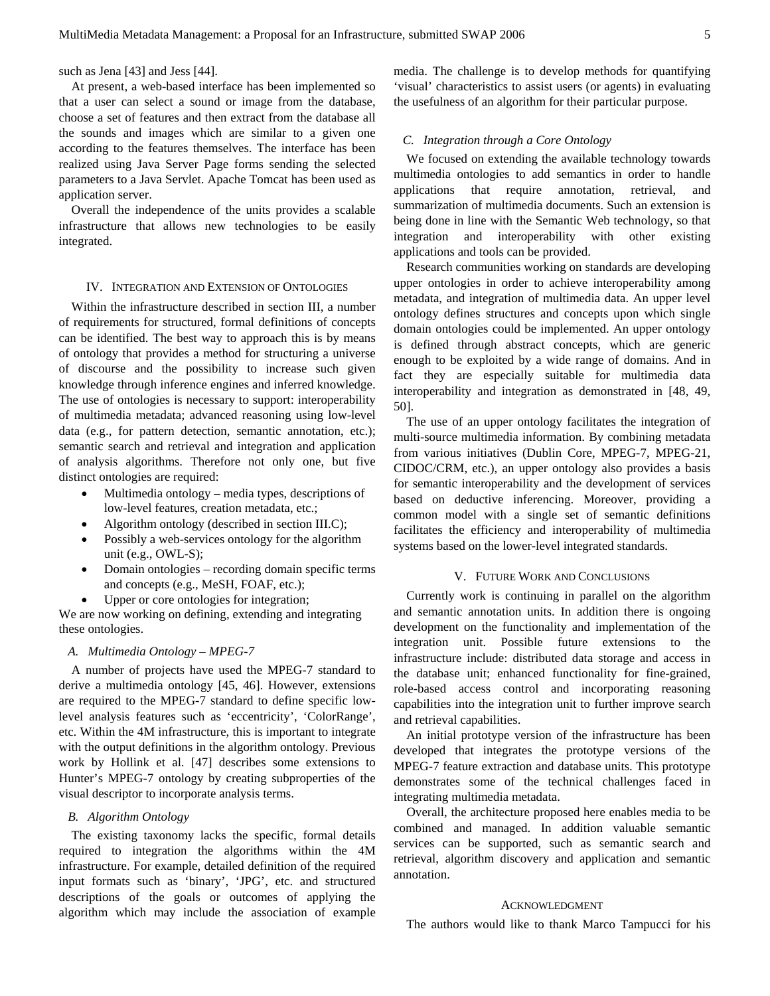such as Jena [43] and Jess [44].

At present, a web-based interface has been implemented so that a user can select a sound or image from the database, choose a set of features and then extract from the database all the sounds and images which are similar to a given one according to the features themselves. The interface has been realized using Java Server Page forms sending the selected parameters to a Java Servlet. Apache Tomcat has been used as application server.

Overall the independence of the units provides a scalable infrastructure that allows new technologies to be easily integrated.

## IV. INTEGRATION AND EXTENSION OF ONTOLOGIES

Within the infrastructure described in section III, a number of requirements for structured, formal definitions of concepts can be identified. The best way to approach this is by means of ontology that provides a method for structuring a universe of discourse and the possibility to increase such given knowledge through inference engines and inferred knowledge. The use of ontologies is necessary to support: interoperability of multimedia metadata; advanced reasoning using low-level data (e.g., for pattern detection, semantic annotation, etc.); semantic search and retrieval and integration and application of analysis algorithms. Therefore not only one, but five distinct ontologies are required:

- Multimedia ontology media types, descriptions of low-level features, creation metadata, etc.;
- Algorithm ontology (described in section III.C);
- Possibly a web-services ontology for the algorithm unit (e.g., OWL-S);
- Domain ontologies recording domain specific terms and concepts (e.g., MeSH, FOAF, etc.);
- Upper or core ontologies for integration;

We are now working on defining, extending and integrating these ontologies.

# *A. Multimedia Ontology – MPEG-7*

A number of projects have used the MPEG-7 standard to derive a multimedia ontology [45, 46]. However, extensions are required to the MPEG-7 standard to define specific lowlevel analysis features such as 'eccentricity', 'ColorRange', etc. Within the 4M infrastructure, this is important to integrate with the output definitions in the algorithm ontology. Previous work by Hollink et al. [47] describes some extensions to Hunter's MPEG-7 ontology by creating subproperties of the visual descriptor to incorporate analysis terms.

# *B. Algorithm Ontology*

The existing taxonomy lacks the specific, formal details required to integration the algorithms within the 4M infrastructure. For example, detailed definition of the required input formats such as 'binary', 'JPG', etc. and structured descriptions of the goals or outcomes of applying the algorithm which may include the association of example

media. The challenge is to develop methods for quantifying 'visual' characteristics to assist users (or agents) in evaluating the usefulness of an algorithm for their particular purpose.

## *C. Integration through a Core Ontology*

We focused on extending the available technology towards multimedia ontologies to add semantics in order to handle applications that require annotation, retrieval, and summarization of multimedia documents. Such an extension is being done in line with the Semantic Web technology, so that integration and interoperability with other existing applications and tools can be provided.

Research communities working on standards are developing upper ontologies in order to achieve interoperability among metadata, and integration of multimedia data. An upper level ontology defines structures and concepts upon which single domain ontologies could be implemented. An upper ontology is defined through abstract concepts, which are generic enough to be exploited by a wide range of domains. And in fact they are especially suitable for multimedia data interoperability and integration as demonstrated in [48, 49, 50].

The use of an upper ontology facilitates the integration of multi-source multimedia information. By combining metadata from various initiatives (Dublin Core, MPEG-7, MPEG-21, CIDOC/CRM, etc.), an upper ontology also provides a basis for semantic interoperability and the development of services based on deductive inferencing. Moreover, providing a common model with a single set of semantic definitions facilitates the efficiency and interoperability of multimedia systems based on the lower-level integrated standards.

## V. FUTURE WORK AND CONCLUSIONS

Currently work is continuing in parallel on the algorithm and semantic annotation units. In addition there is ongoing development on the functionality and implementation of the integration unit. Possible future extensions to the infrastructure include: distributed data storage and access in the database unit; enhanced functionality for fine-grained, role-based access control and incorporating reasoning capabilities into the integration unit to further improve search and retrieval capabilities.

An initial prototype version of the infrastructure has been developed that integrates the prototype versions of the MPEG-7 feature extraction and database units. This prototype demonstrates some of the technical challenges faced in integrating multimedia metadata.

Overall, the architecture proposed here enables media to be combined and managed. In addition valuable semantic services can be supported, such as semantic search and retrieval, algorithm discovery and application and semantic annotation.

#### ACKNOWLEDGMENT

The authors would like to thank Marco Tampucci for his